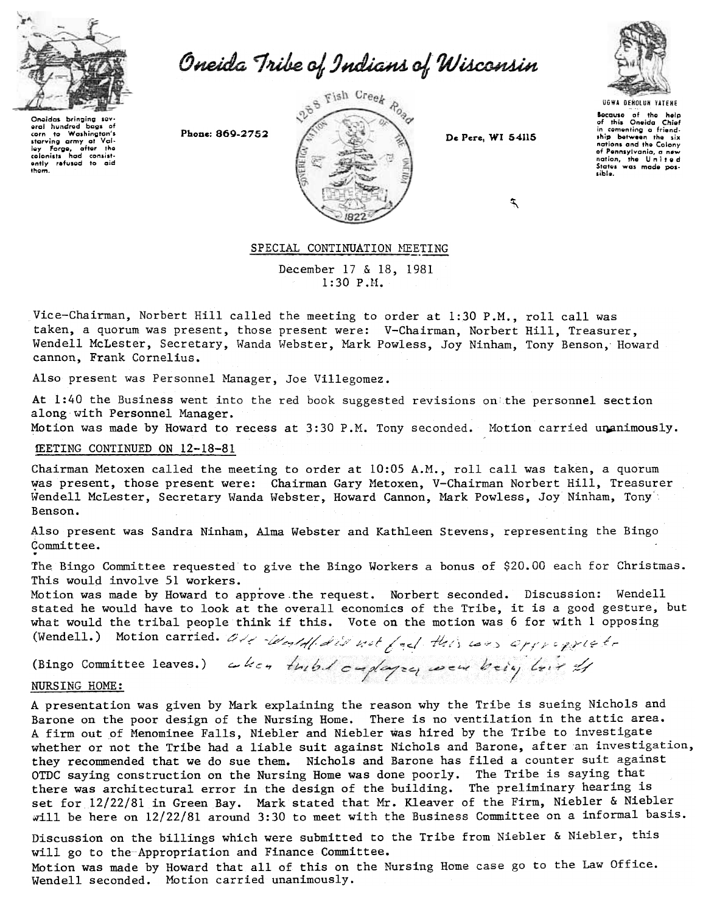

Oneida Tribe of Indians of Wisconsin



Onaidas bringing sov oral hundrod bags of<br>corn to Washington's to Washington's starving army at Val-<br>Iey Forge, after the<br>colonists hod consistently refused to aid them.



 $\mathcal{F}$ 

UGWA DENOLUN YATEHE Bocauso of the help<br>of this Oneida Chief<br>in comenting a friend-<br>ship between the six nations and the Colony of Pennsylvania, a new<br>nation, the United<br>States was made posible.

# SPECIAL CONTINUATION MEETING

December 17 & 18, 1981 1:30 P.ll.

Vice-Chairman, Norbert Hill called the meeting to order at 1:30 P.M., roll call was taken, a quorum was present, those present were: V-Chairman, Norbert Hill, Treasurer, Wendell McLester, Secretary, Wanda Webster, Mark Powless, Joy Ninham, Tony Benson, Howard cannon, Frank Cornelius.

Also present was Personnel Manager, Joe Villegomez.

At 1:40 the Business went into the red book suggested revisions on the personnel section along with Personnel Manager.

Motion was made by Howard to recess at 3:30 P.M. Tony seconded. Motion carried unanimously.

## MEETING CONTINUED ON 12-18-81

Chairman Metoxen called the meeting to order at 10:05 A.M., roll call was taken, a quorum was present, those present were: Chairman Gary Metoxen, V-Chairman Norbert Hill, Treasurer  $~\texttt{Wendell}~$  McLester, Secretary Wanda Webster, Howard Cannon, Mark Powless, Joy Ninham, Tony Benson.

Also present was Sandra Ninham, Alma Webster and Kathleen Stevens, representing the Bingo Committee. .

The Bingo Committee requested to give the Bingo Workers a bonus of \$20.00 each for Christmas. This would involve 51 workers.

Motion was made by Howard to approve.the request. Norbert seconded. Discussion: Wendell stated he would have to look at the overall economics of the Tribe, it is a good gesture, but what would the tribal people think if this. Vote on the motion was 6 for with 1 opposing

(Wendell.) Motion carried.  $6/7/4/4/2/7$  ust  $/4/4/4/7/4$  cass officially

(Bingo Committee leaves.)  $\omega$  k  $\epsilon$ NURSING HOME:

A presentation was given by Mark explaining the reason why the Tribe is sueing Nichols and Barone on the poor design of the Nursing Home. There is no ventilation in the attic area. A firm out of Menominee Falls, Niebler and Niebler was hired by the Tribe to investigate whether or not the Tribe had a liable suit against Nichols and Barone, after an investigation, they recommended that we do sue them. Nichols and Barone has filed a counter suit against OTDC saying construction on the Nursing Home was done poorly. The Tribe is saying that there was architectural error in the design of the building. The preliminary hearing is set for 12/22/81 in Green Bay. Mark stated that Mr. Kleaver of the Firm, Niebler & Niebler will be here on 12/22/81 around 3:30 to meet with the Business Committee on a informal basis.

Discussion on the billings which were submitted to the Tribe from Niebler & Niebler, this will go to the Appropriation and Finance Committee.

Motion was made by Howard that all of this on the Nursing Home case go to the Law Office. Wendell seconded. Motion carried unanimously.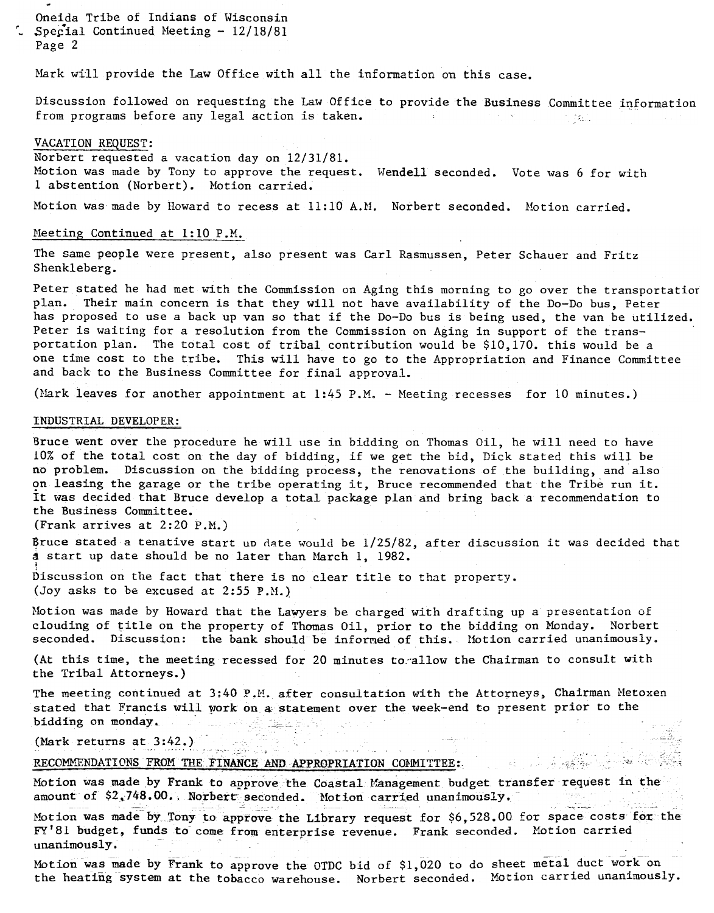- Oneida Tribe of Indians of Wisconsin  $\sim$  Special Continued Meeting - 12/18/81 Page 2

Mark will provide the Law Office with all the information on this case.

Discussion followed on requesting the Law Office to provide the Business Committee information from programs before any legal action is taken. The contract of the contract of the contract of the contract of the contract of the contract of the contract of the contract of the contract of the contract of the contract o

#### VACATION REQUEST:

Motion was made by Tony to approve the request. Wendell seconded. Vote was 6 for wit Norbert requested a vacation day on 12/31/81. 1 abstention (Norbert). Motion carried.

Motion was made by Howard to recess at 11:10 A.M. Norbert seconded. Motion carried.

# Meeting Continued at 1:10 P.M.

The same people were present, also present was Carl Rasmussen, Peter Schauer and Fritz Shenkleberg.

Peter stated he had met with the Commission on Aging this morning to go over the transportation plan. Their main concern is that they will not have availability of the Do-Do bus, Peter has proposed to use a back up van so that if the Do-Do bus is being used, the van be utilized. Peter is waiting for a resolution from the Commission on Aging in support of the transportation plan. The total cost of tribal contribution would be \$10,170. this would be a one time cost to the tribe. This will have to go to the Appropriation and Finance Committee and back to the Business Committee for final approval.

(Mark leaves for another appointment at  $1:45$  P.M. - Meeting recesses for 10 minutes.)

### INDUSTRIAL DEVELOPER:

Bruce went over the procedure he will use in bidding on Thomas Oil, he will need to have 10% of the total cost on the day of bidding, if we get the bid, Dick stated this will be no problem. Discussion on the bidding process, the renovations of the building, and also on leasing the garage or the tribe operating it. Bruce recommended that the Tribe run it. It was decided that Bruce develop a total package plan and bring back a recommendation to the Business Committee.

(Frank arrives at 2:20 P.M.)

Bruce stated a tenative start up date would be  $1/25/82$ , after discussion it was decided that d start up date should be no later than March 1, 1982.

!<br>Discussion on the fact that there is no clear title to that proper (Joy asks to be excused at 2:55 P.M.)

 $\mathbb{C}^*$ 

 $\mathcal{L}^{\text{max}}$ 

Motion was made by Howard that the Lawyers be charged with drafting up a presentation of clouding of title on the property of Thomas Oil, prior to the bidding on Monday. Norbert seconded. Discussion: the bank should be informed of this. Motion carried unanimously.

(At this time, the meeting recessed for 20 minutes to allow the Chairman to consult with the Tribal Attorneys.)

The meeting continued at  $3:40$  P.M. after consultation with the Attorneys, Chairman Metoxen stated that Francis will work on a statement over the week-end to present prior to the bidding on monday, 그는 사람 바로 오늘 일이 있는 것이다.

وأحداثهم لاستاذ

 $\mathcal{L}_{\text{max}}$  , we can be a set of  $\mathcal{L}_{\text{max}}$ 

(Mark returns at  $3:42$ .)

RECOMMENDATIONS FROM THE FINANCE AND APPROPRIATION COMMITTEE;

Motion was made by Frank to approve the Coastal Management budget transfer request in the amount of \$2;748.00. Norbert seconded. Motion carried unanimously. itan) in --~ ~--~ -\_Cc

Motion was made by Tony to approve the Library request for  $$6,528.00$  for space costs for the FY'81 budget, funds to come from enterprise revenue. Frank seconded. Motion carried unanimously.

Motion was made by Frank to approve the OTDC bid of \$1,020 to do sheet metal duct work on the heating system at the tobacco warehouse. Norbert seconded. Motion carried unanimously.